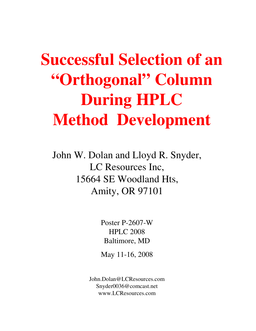# **Successful Selection of an "Orthogonal" Column During HPLC Method Development**

John W. Dolan and Lloyd R. Snyder, LC Resources Inc, 15664 SE Woodland Hts, Amity, OR 97101

> Poster P-2607-W HPLC 2008 Baltimore, MD

May 11-16, 2008

John.Dolan@LCResources.com Snyder0036@comcast.net www.LCResources.com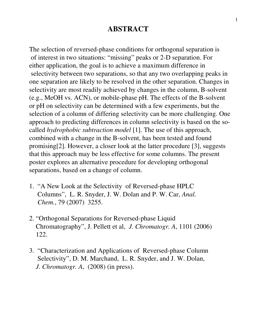#### **ABSTRACT**

The selection of reversed-phase conditions for orthogonal separation is of interest in two situations: "missing" peaks or 2-D separation. For either application, the goal is to achieve a maximum difference in selectivity between two separations, so that any two overlapping peaks in one separation are likely to be resolved in the other separation. Changes in selectivity are most readily achieved by changes in the column, B-solvent (e.g., MeOH vs. ACN), or mobile-phase pH. The effects of the B-solvent or pH on selectivity can be determined with a few experiments, but the selection of a column of differing selectivity can be more challenging. One approach to predicting differences in column selectivity is based on the socalled *hydrophobic subtraction model* [1]. The use of this approach, combined with a change in the B-solvent, has been tested and found promising[2]. However, a closer look at the latter procedure [3], suggests that this approach may be less effective for some columns. The present poster explores an alternative procedure for developing orthogonal separations, based on a change of column.

- 1. "A New Look at the Selectivity of Reversed-phase HPLC Columns", L. R. Snyder, J. W. Dolan and P. W. Car, *Anal. Chem.*, 79 (2007) 3255.
- 2. "Orthogonal Separations for Reversed-phase Liquid Chromatography", J. Pellett et al, *J. Chromatogr. A*, 1101 (2006) 122.
- 3. "Characterization and Applications of Reversed-phase Column Selectivity", D. M. Marchand, L. R. Snyder, and J. W. Dolan, *J. Chromatogr. A*, (2008) (in press).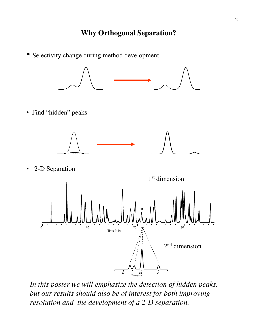• Selectivity change during method development



*In this poster we will emphasize the detection of hidden peaks, but our results should also be of interest for both improving resolution and the development of a 2-D separation.*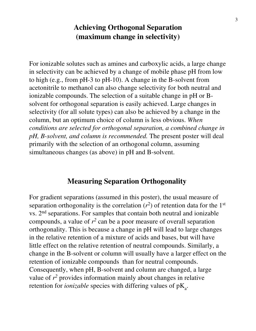### **Achieving Orthogonal Separation (maximum change in selectivity)**

For ionizable solutes such as amines and carboxylic acids, a large change in selectivity can be achieved by a change of mobile phase pH from low to high (e.g., from pH-3 to pH-10). A change in the B-solvent from acetonitrile to methanol can also change selectivity for both neutral and ionizable compounds. The selection of a suitable change in pH or Bsolvent for orthogonal separation is easily achieved. Large changes in selectivity (for all solute types) can also be achieved by a change in the column, but an optimum choice of column is less obvious. *When conditions are selected for orthogonal separation, a combined change in pH, B-solvent, and column is recommended.* The present poster will deal primarily with the selection of an orthogonal column, assuming simultaneous changes (as above) in pH and B-solvent.

#### **Measuring Separation Orthogonality**

For gradient separations (assumed in this poster), the usual measure of separation orthogonality is the correlation  $(r^2)$  of retention data for the 1<sup>st</sup> vs. 2nd separations. For samples that contain both neutral and ionizable compounds, a value of  $r^2$  can be a poor measure of overall separation orthogonality. This is because a change in pH will lead to large changes in the relative retention of a mixture of acids and bases, but will have little effect on the relative retention of neutral compounds. Similarly, a change in the B-solvent or column will usually have a larger effect on the retention of ionizable compounds than for neutral compounds. Consequently, when pH, B-solvent and column are changed, a large value of  $r^2$  provides information mainly about changes in relative retention for *ionizable* species with differing values of  $pK_a$ .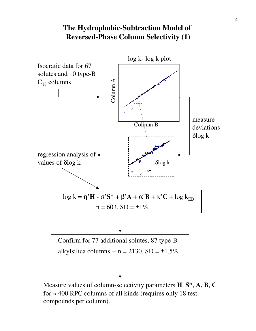## **The Hydrophobic-Subtraction Model of Reversed-Phase Column Selectivity (1)**



Measure values of column-selectivity parameters **H**, **S\***, **A**, **B**, **C** for  $\approx$  400 RPC columns of all kinds (requires only 18 test compounds per column).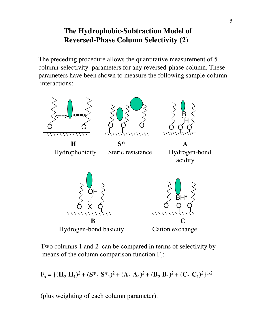# **The Hydrophobic-Subtraction Model of Reversed-Phase Column Selectivity (2)**

The preceding procedure allows the quantitative measurement of 5 column-selectivity parameters for any reversed-phase column. These parameters have been shown to measure the following sample-column interactions:



Two columns 1 and 2 can be compared in terms of selectivity by means of the column comparison function  $F_s$ :

$$
F_s = \{ (\mathbf{H}_2 - \mathbf{H}_1)^2 + (\mathbf{S} \cdot \mathbf{S} - \mathbf{S} \cdot \mathbf{S}^*)^2 + (\mathbf{A}_2 - \mathbf{A}_1)^2 + (\mathbf{B}_2 - \mathbf{B}_1)^2 + (\mathbf{C}_2 - \mathbf{C}_1)^2 \}^{1/2}
$$

(plus weighting of each column parameter).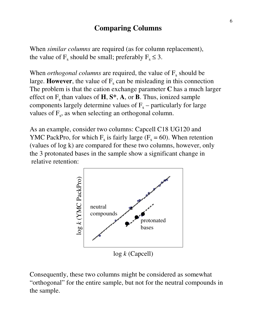#### **Comparing Columns**

When *similar columns* are required (as for column replacement), the value of  $F_s$  should be small; preferably  $F_s \leq 3$ .

When *orthogonal columns* are required, the value of  $F_s$  should be large. **However**, the value of  $F_s$  can be misleading in this connection The problem is that the cation exchange parameter **C** has a much larger effect on  $F_s$  than values of  $H$ ,  $S^*$ ,  $A$ , or  $B$ . Thus, ionized sample components largely determine values of  $F_s$  – particularly for large values of  $F_s$ , as when selecting an orthogonal column.

As an example, consider two columns: Capcell C18 UG120 and YMC PackPro, for which  $F_s$  is fairly large ( $F_s = 60$ ). When retention (values of log k) are compared for these two columns, however, only the 3 protonated bases in the sample show a significant change in relative retention:



Consequently, these two columns might be considered as somewhat "orthogonal" for the entire sample, but not for the neutral compounds in the sample.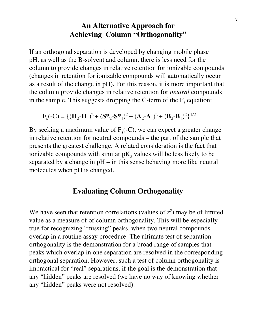#### **An Alternative Approach for Achieving Column "Orthogonality"**

If an orthogonal separation is developed by changing mobile phase pH, as well as the B-solvent and column, there is less need for the column to provide changes in relative retention for ionizable compounds (changes in retention for ionizable compounds will automatically occur as a result of the change in pH). For this reason, it is more important that the column provide changes in relative retention for *neutral* compounds in the sample. This suggests dropping the C-term of the  $F_s$  equation:

$$
F_s(-C) = \{ (\mathbf{H}_2 - \mathbf{H}_1)^2 + (\mathbf{S} \cdot \mathbf{S} - \mathbf{S} \cdot \mathbf{S}^*)^2 + (\mathbf{A}_2 - \mathbf{A}_1)^2 + (\mathbf{B}_2 - \mathbf{B}_1)^2 \}^{1/2}
$$

By seeking a maximum value of  $F_s(-C)$ , we can expect a greater change in relative retention for neutral compounds – the part of the sample that presents the greatest challenge. A related consideration is the fact that ionizable compounds with similar  $pK_a$  values will be less likely to be separated by a change in pH – in this sense behaving more like neutral molecules when pH is changed.

#### **Evaluating Column Orthogonality**

We have seen that retention correlations (values of  $r^2$ ) may be of limited value as a measure of of column orthogonality. This will be especially true for recognizing "missing" peaks, when two neutral compounds overlap in a routine assay procedure. The ultimate test of separation orthogonality is the demonstration for a broad range of samples that peaks which overlap in one separation are resolved in the corresponding orthogonal separation. However, such a test of column orthogonality is impractical for "real" separations, if the goal is the demonstration that any "hidden" peaks are resolved (we have no way of knowing whether any "hidden" peaks were not resolved).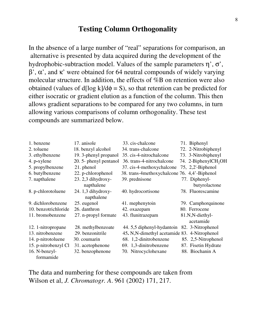#### **Testing Column Orthogonality**

In the absence of a large number of "real" separations for comparison, an alternative is presented by data acquired during the development of the hydrophobic-subtraction model. Values of the sample parameters  $\eta$ ',  $\sigma'$ ,  $β', α',$  and κ' were obtained for 64 neutral compounds of widely varying molecular structure. In addition, the effects of %B on retention were also obtained (values of d[log k]/d $\phi = S$ ), so that retention can be predicted for either isocratic or gradient elution as a function of the column. This then allows gradient separations to be compared for any two columns, in turn allowing various comparisons of column orthogonality. These test compounds are summarized below.

| 1. benzene           | 17. anisole                      | 33. cis-chalcone                             | 71. Biphenyl                     |
|----------------------|----------------------------------|----------------------------------------------|----------------------------------|
| 2. toluene           | 18. benzyl alcohol               | 34. trans-chalcone                           | 72. 2-Nitrobiphenyl              |
| 3. ethylbenzene      | 19. 3-phenyl propanol            | 35. cis-4-nitrochalcone                      | 73. 3-Nitrobiphenyl              |
| 4. p-xylene          | 20. 5- phenyl pentanol           | 36. trans-4-nitrochalcone                    | 74. 2-BiphenylCH <sub>2</sub> OH |
| 5. propylbenzene     | 21. phenol                       | 37. cis-4-methoxychalcone                    | 75, 2,2'-Biphenol                |
| 6. butylbenzene      | 22. p-chlorophenol               | 38. trans-4methoxychalcone 76. 4,4'-Biphenol |                                  |
| 7. napthalene        | 23. 2,3 dihydroxy-               | 39. prednisone                               | 77. Diphenyl-                    |
|                      | napthalene                       |                                              | butyrolactone                    |
| 8. p-chlorotoluene   | 24. 1,3 dihydroxy-<br>napthalene | 40. hydrocortisone                           | 78. Fluorescamine                |
| 9. dichlorobenzene   | 25. eugenol                      | 41. mephenytoin                              | 79. Camphorquinone               |
| 10. benzotrichloride | 26. danthron                     | 42. oxazepam                                 | 80. Ferrocene                    |
| 11. bromobenzene     | 27. n-propyl formate             | 43. flunitrazepam                            | 81.N,N-diethyl-                  |
|                      |                                  |                                              | acetamide                        |
| 12. 1-nitropropane   | 28. methylbenzoate               | 44.5,5 diphenyl-hydantoin                    | 82. 3-Nitrophenol                |
| 13. nitrobenzene     | 29. benzonitrile                 | 45. N,N-dimethyl acetamide 83. 4-Nitrophenol |                                  |
| 14. p-nitrotoluene   | 30. coumarin                     | 68. 1,2-dinitrobenzene                       | 85. 2,5-Nitrophenol              |
| 15. p-nitrobenzyl Cl | 31. acetophenone                 | 69. 1,3-dinitrobenzene                       | 87. Fisetin Hydrate              |
| 16. N-benzyl-        | 32. benzophenone                 | 70. Nitrocyclohexane                         | 88. Biochanin A                  |
| formamide            |                                  |                                              |                                  |

The data and numbering for these compounds are taken from Wilson et al, *J. Chromatogr. A*. 961 (2002) 171, 217.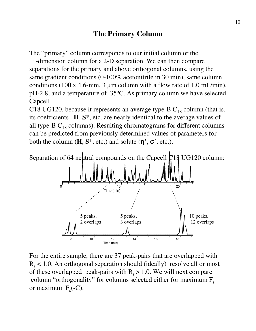### **The Primary Column**

The "primary" column corresponds to our initial column or the 1<sup>st</sup>-dimension column for a 2-D separation. We can then compare separations for the primary and above orthogonal columns, using the same gradient conditions (0-100% acetonitrile in 30 min), same column conditions (100 x 4.6-mm, 3  $\mu$ m column with a flow rate of 1.0 mL/min), pH-2.8, and a temperature of 35<sup>o</sup>C. As primary column we have selected Capcell

C18 UG120, because it represents an average type-B  $C_{18}$  column (that is, its coefficients . **H**, **S**\*, etc. are nearly identical to the average values of all type-B  $C_{18}$  columns). Resulting chromatograms for different columns can be predicted from previously determined values of parameters for both the column  $(H, S^*, etc.)$  and solute  $(\eta', \sigma', etc.).$ 





For the entire sample, there are 37 peak-pairs that are overlapped with  $R<sub>s</sub>$  < 1.0. An orthogonal separation should (ideally) resolve all or most of these overlapped peak-pairs with  $R_s > 1.0$ . We will next compare column "orthogonality" for columns selected either for maximum  $F_s$ or maximum  $F_s(-C)$ .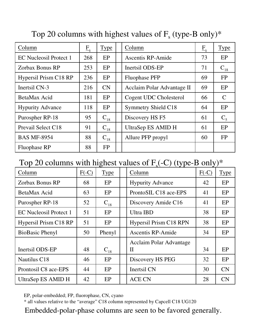| Column                  | $E_{\rm s}$ | <b>Type</b> | Column                     | $E_{\rm s}$ | <b>Type</b>   |
|-------------------------|-------------|-------------|----------------------------|-------------|---------------|
| EC Nucleosil Protect 1  | 268         | EP          | Ascentis RP-Amide          | 73          | EP            |
| Zorbax Bonus RP         | 253         | EP          | Inertsil ODS-EP            | 71          | $C_{18}$      |
| Hypersil Prism C18 RP   | 236         | EP          | <b>Fluophase PFP</b>       | 69          | <b>FP</b>     |
| Inertsil CN-3           | 216         | CN          | Acclaim Polar Advantage II | 69          | EP            |
| BetaMax Acid            | 181         | EP          | Cogent UDC Cholesterol     | 66          | $\mathcal{C}$ |
| <b>Hypurity Advance</b> | 118         | EP          | <b>Symmetry Shield C18</b> | 64          | EP            |
| Purospher RP-18         | 95          | $C_{18}$    | Discovery HS F5            | 61          | $C_5$         |
| Prevail Select C18      | 91          | $C_{18}$    | UltraSep ES AMID H         | 61          | EP            |
| <b>BAS MF-8954</b>      | 88          | $C_{18}$    | Allure PFP propyl          | 60          | FP            |
| <b>Fluophase RP</b>     | 88          | <b>FP</b>   |                            |             |               |

# Top 20 columns with highest values of  $F_s$  (type-B only)\*

# Top 20 columns with highest values of  $F_s(-C)$  (type-B only)\*

| Column                        | $F(-C)$ | <b>Type</b> | Column                         | $F(-C)$ | <b>Type</b> |
|-------------------------------|---------|-------------|--------------------------------|---------|-------------|
| <b>Zorbax Bonus RP</b>        | 68      | EP          | <b>Hypurity Advance</b>        | 42      | EP          |
| BetaMax Acid                  | 63      | EP          | ProntoSIL C18 ace-EPS          | 41      | EP          |
| Purospher RP-18               | 52      | $C_{18}$    | Discovery Amide C16            | 41      | EP          |
| <b>EC Nucleosil Protect 1</b> | 51      | EP          | Ultra IBD                      | 38      | EP          |
| Hypersil Prism C18 RP         | 51      | EP          | <b>Hypersil Prism C18 RPN</b>  | 38      | EP          |
| <b>BioBasic Phenyl</b>        | 50      | Phenyl      | <b>Ascentis RP-Amide</b>       | 34      | EP          |
|                               |         |             | <b>Acclaim Polar Advantage</b> |         |             |
| Inertsil ODS-EP               | 48      | $C_{18}$    | $\mathbf{I}$                   | 34      | EP          |
| Nautilus C18                  | 46      | EP          | Discovery HS PEG               | 32      | EP          |
| Prontosil C8 ace-EPS          | 44      | EP          | Inertsil CN                    | 30      | CN          |
| UltraSep ES AMID H            | 42      | EP          | <b>ACE CN</b>                  | 28      | CN          |

EP, polar-embedded; FP, fluorophase, CN, cyano

\* all values relative to the "average" C18 column represented by Capcell C18 UG120

Embedded-polar-phase columns are seen to be favored generally.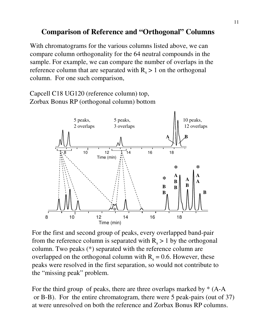### **Comparison of Reference and "Orthogonal" Columns**

With chromatograms for the various columns listed above, we can compare column orthogonality for the 64 neutral compounds in the sample. For example, we can compare the number of overlaps in the reference column that are separated with  $R_s > 1$  on the orthogonal column. For one such comparison,

Capcell C18 UG120 (reference column) top, Zorbax Bonus RP (orthogonal column) bottom



For the first and second group of peaks, every overlapped band-pair from the reference column is separated with  $R_s > 1$  by the orthogonal column. Two peaks (\*) separated with the reference column are overlapped on the orthogonal column with  $R_s = 0.6$ . However, these peaks were resolved in the first separation, so would not contribute to the "missing peak" problem.

For the third group of peaks, there are three overlaps marked by  $*(A-A)$ or B-B). For the entire chromatogram, there were 5 peak-pairs (out of 37) at were unresolved on both the reference and Zorbax Bonus RP columns.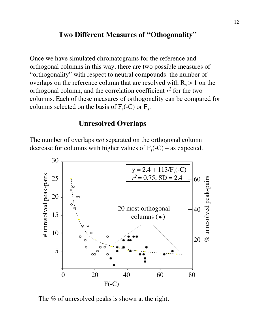#### **Two Different Measures of "Othogonality"**

Once we have simulated chromatograms for the reference and orthogonal columns in this way, there are two possible measures of "orthogonality" with respect to neutral compounds: the number of overlaps on the reference column that are resolved with  $R_s > 1$  on the orthogonal column, and the correlation coefficient  $r^2$  for the two columns. Each of these measures of orthogonality can be compared for columns selected on the basis of  $F_s$ (-C) or  $F_s$ .

#### **Unresolved Overlaps**

The number of overlaps *not* separated on the orthogonal column decrease for columns with higher values of  $F_s(-C)$  – as expected.



The % of unresolved peaks is shown at the right.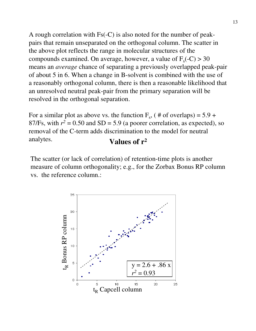A rough correlation with Fs(-C) is also noted for the number of peakpairs that remain unseparated on the orthogonal column. The scatter in the above plot reflects the range in molecular structures of the compounds examined. On average, however, a value of  $F_s(-C) > 30$ means an *average* chance of separating a previously overlapped peak-pair of about 5 in 6. When a change in B-solvent is combined with the use of a reasonably orthogonal column, there is then a reasonable likelihood that an unresolved neutral peak-pair from the primary separation will be resolved in the orthogonal separation.

**Values of r<sup>2</sup>** For a similar plot as above vs. the function  $F_s$ , ( # of overlaps) = 5.9 + 87/Fs, with  $r^2 = 0.50$  and SD = 5.9 (a poorer correlation, as expected), so removal of the C-term adds discrimination to the model for neutral analytes.

The scatter (or lack of correlation) of retention-time plots is another measure of column orthogonality; e.g., for the Zorbax Bonus RP column vs. the reference column.:

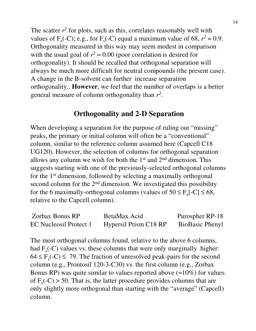The scatter  $r^2$  for plots, such as this, correlates reasonably well with values of  $F_s(-C)$ ; e.g., for  $F_s(-C)$  equal a maximum value of 68,  $r^2 = 0.9$ . Orthogonality measured in this way may seem modest in comparison with the usual goal of  $r^2 \approx 0.00$  (poor correlation is desired for orthogonality). It should be recalled that orthogonal separation will always be much more difficult for neutral compounds (the present case). A change in the B-solvent can further increase separation orthogonality.. **However**, we feel that the number of overlaps is a better general measure of column orthogonality than  $r^2$ .

# **Orthogonality and 2-D Separation**

When developing a separation for the purpose of ruling out "missing" peaks, the primary or initial column will often be a "conventional" column, similar to the reference column assumed here (Capcell C18 UG120). However, the selection of columns for orthogonal separation allows any column we wish for both the 1st and 2nd dimension. This suggests starting with one of the previously-selected orthogonal columns for the 1st dimension, followed by selecting a maximally orthogonal second column for the 2<sup>nd</sup> dimension. We investigated this possibility for the 6 maximally-orthogonal columns (values of  $50 \le F_s[-C] \le 68$ , relative to the Capcell column).

| Zorbax Bonus RP               | BetaMax Acid          | Purospher RP-18        |
|-------------------------------|-----------------------|------------------------|
| <b>EC Nucleosil Protect 1</b> | Hypersil Prism C18 RP | <b>BioBasic Phenyl</b> |

The most orthogonal columns found, relative to the above 6 columns, had  $F_s(-C)$  values vs. these columns that were only marginally higher:  $64 \le F_s(-C) \le 79$ . The fraction of unresolved peak-pairs for the second column (e.g., Prontosil 120-3-C30) vs. the first column (e.g., Zorbax Bonus RP) was quite similar to values reported above  $(\approx 10\%)$  for values of  $F_s(-C) > 50$ . That is, the latter procedure provides columns that are only slightly more orthogonal than starting with the "average" (Capcell) column.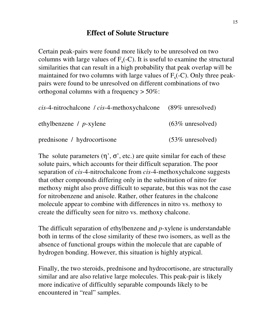# **Effect of Solute Structure**

Certain peak-pairs were found more likely to be unresolved on two columns with large values of  $F_s(-C)$ . It is useful to examine the structural similarities that can result in a high probability that peak overlap will be maintained for two columns with large values of  $F_s(-C)$ . Only three peakpairs were found to be unresolved on different combinations of two orthogonal columns with a frequency > 50%:

| <i>cis</i> -4-nitrochalcone / <i>cis</i> -4-methoxychalcone (89% unresolved) |                     |
|------------------------------------------------------------------------------|---------------------|
| ethylbenzene / $p$ -xylene                                                   | $(63\%$ unresolved) |
| prednisone / hydrocortisone                                                  | $(53\%$ unresolved) |

The solute parameters  $(\eta', \sigma', \text{etc.})$  are quite similar for each of these solute pairs, which accounts for their difficult separation. The poor separation of *cis*-4-nitrochalcone from *cis*-4-methoxychalcone suggests that other compounds differing only in the substitution of nitro for methoxy might also prove difficult to separate, but this was not the case for nitrobenzene and anisole. Rather, other features in the chalcone molecule appear to combine with differences in nitro vs. methoxy to create the difficulty seen for nitro vs. methoxy chalcone.

The difficult separation of ethylbenzene and *p*-xylene is understandable both in terms of the close similarity of these two isomers, as well as the absence of functional groups within the molecule that are capable of hydrogen bonding. However, this situation is highly atypical.

Finally, the two steroids, prednisone and hydrocortisone, are structurally similar and are also relative large molecules. This peak-pair is likely more indicative of difficultly separable compounds likely to be encountered in "real" samples.